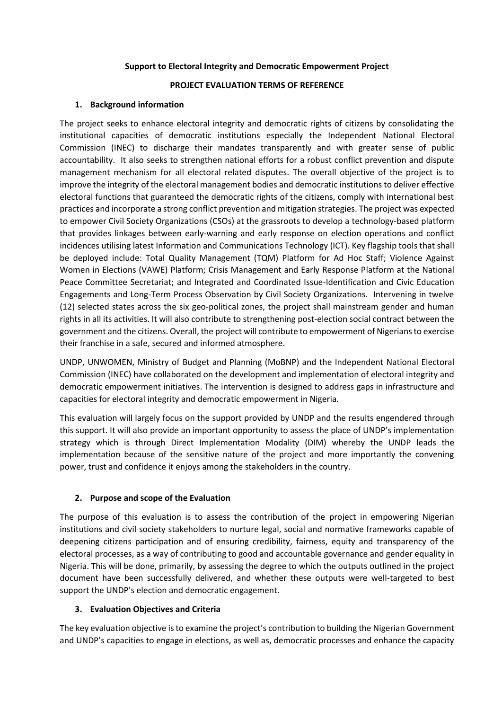## **Support to Electoral Integrity and Democratic Empowerment Project**

## **PROJECT EVALUATION TERMS OF REFERENCE**

## **1. Background information**

The project seeks to enhance electoral integrity and democratic rights of citizens by consolidating the institutional capacities of democratic institutions especially the Independent National Electoral Commission (INEC) to discharge their mandates transparently and with greater sense of public accountability. It also seeks to strengthen national efforts for a robust conflict prevention and dispute management mechanism for all electoral related disputes. The overall objective of the project is to improve the integrity of the electoral management bodies and democratic institutions to deliver effective electoral functions that guaranteed the democratic rights of the citizens, comply with international best practices and incorporate a strong conflict prevention and mitigation strategies. The project was expected to empower Civil Society Organizations (CSOs) at the grassroots to develop a technology-based platform that provides linkages between early-warning and early response on election operations and conflict incidences utilising latest Information and Communications Technology (ICT). Key flagship tools that shall be deployed include: Total Quality Management (TQM) Platform for Ad Hoc Staff; Violence Against Women in Elections (VAWE) Platform; Crisis Management and Early Response Platform at the National Peace Committee Secretariat; and Integrated and Coordinated Issue-Identification and Civic Education Engagements and Long-Term Process Observation by Civil Society Organizations. Intervening in twelve (12) selected states across the six geo-political zones, the project shall mainstream gender and human rights in all its activities. It will also contribute to strengthening post-election social contract between the government and the citizens. Overall, the project will contribute to empowerment of Nigerians to exercise their franchise in a safe, secured and informed atmosphere.

UNDP, UNWOMEN, Ministry of Budget and Planning (MoBNP) and the Independent National Electoral Commission (INEC) have collaborated on the development and implementation of electoral integrity and democratic empowerment initiatives. The intervention is designed to address gaps in infrastructure and capacities for electoral integrity and democratic empowerment in Nigeria.

This evaluation will largely focus on the support provided by UNDP and the results engendered through this support. It will also provide an important opportunity to assess the place of UNDP's implementation strategy which is through Direct Implementation Modality (DIM) whereby the UNDP leads the implementation because of the sensitive nature of the project and more importantly the convening power, trust and confidence it enjoys among the stakeholders in the country.

## **2. Purpose and scope of the Evaluation**

The purpose of this evaluation is to assess the contribution of the project in empowering Nigerian institutions and civil society stakeholders to nurture legal, social and normative frameworks capable of deepening citizens participation and of ensuring credibility, fairness, equity and transparency of the electoral processes, as a way of contributing to good and accountable governance and gender equality in Nigeria. This will be done, primarily, by assessing the degree to which the outputs outlined in the project document have been successfully delivered, and whether these outputs were well-targeted to best support the UNDP's election and democratic engagement.

## **3. Evaluation Objectives and Criteria**

The key evaluation objective is to examine the project's contribution to building the Nigerian Government and UNDP's capacities to engage in elections, as well as, democratic processes and enhance the capacity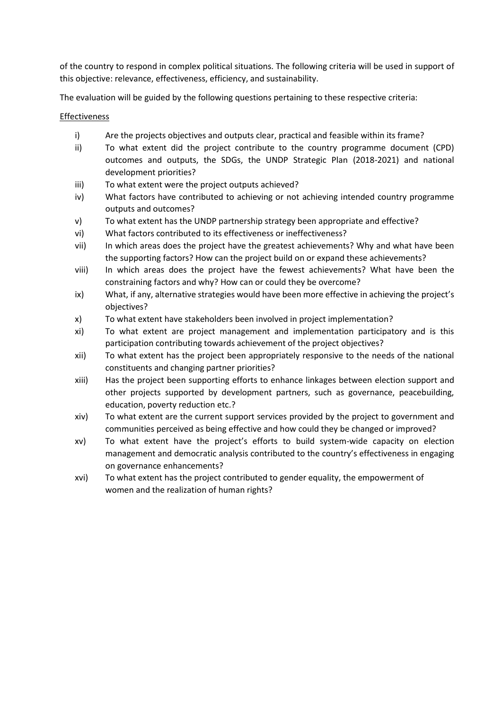of the country to respond in complex political situations. The following criteria will be used in support of this objective: relevance, effectiveness, efficiency, and sustainability.

The evaluation will be guided by the following questions pertaining to these respective criteria:

## Effectiveness

- i) Are the projects objectives and outputs clear, practical and feasible within its frame?
- ii) To what extent did the project contribute to the country programme document (CPD) outcomes and outputs, the SDGs, the UNDP Strategic Plan (2018-2021) and national development priorities?
- iii) To what extent were the project outputs achieved?
- iv) What factors have contributed to achieving or not achieving intended country programme outputs and outcomes?
- v) To what extent has the UNDP partnership strategy been appropriate and effective?
- vi) What factors contributed to its effectiveness or ineffectiveness?
- vii) In which areas does the project have the greatest achievements? Why and what have been the supporting factors? How can the project build on or expand these achievements?
- viii) In which areas does the project have the fewest achievements? What have been the constraining factors and why? How can or could they be overcome?
- ix) What, if any, alternative strategies would have been more effective in achieving the project's objectives?
- x) To what extent have stakeholders been involved in project implementation?
- xi) To what extent are project management and implementation participatory and is this participation contributing towards achievement of the project objectives?
- xii) To what extent has the project been appropriately responsive to the needs of the national constituents and changing partner priorities?
- xiii) Has the project been supporting efforts to enhance linkages between election support and other projects supported by development partners, such as governance, peacebuilding, education, poverty reduction etc.?
- xiv) To what extent are the current support services provided by the project to government and communities perceived as being effective and how could they be changed or improved?
- xv) To what extent have the project's efforts to build system-wide capacity on election management and democratic analysis contributed to the country's effectiveness in engaging on governance enhancements?
- xvi) To what extent has the project contributed to gender equality, the empowerment of women and the realization of human rights?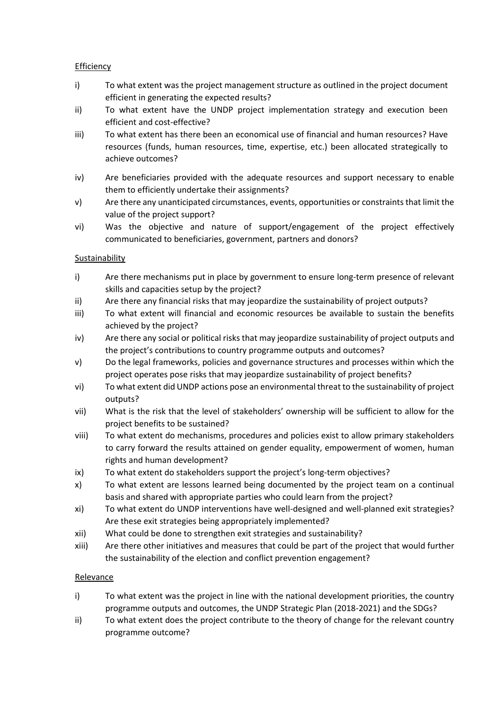## **Efficiency**

- i) To what extent was the project management structure as outlined in the project document efficient in generating the expected results?
- ii) To what extent have the UNDP project implementation strategy and execution been efficient and cost-effective?
- iii) To what extent has there been an economical use of financial and human resources? Have resources (funds, human resources, time, expertise, etc.) been allocated strategically to achieve outcomes?
- iv) Are beneficiaries provided with the adequate resources and support necessary to enable them to efficiently undertake their assignments?
- v) Are there any unanticipated circumstances, events, opportunities or constraints that limit the value of the project support?
- vi) Was the objective and nature of support/engagement of the project effectively communicated to beneficiaries, government, partners and donors?

# Sustainability

- i) Are there mechanisms put in place by government to ensure long-term presence of relevant skills and capacities setup by the project?
- ii) Are there any financial risks that may jeopardize the sustainability of project outputs?
- iii) To what extent will financial and economic resources be available to sustain the benefits achieved by the project?
- iv) Are there any social or political risks that may jeopardize sustainability of project outputs and the project's contributions to country programme outputs and outcomes?
- v) Do the legal frameworks, policies and governance structures and processes within which the project operates pose risks that may jeopardize sustainability of project benefits?
- vi) To what extent did UNDP actions pose an environmental threat to the sustainability of project outputs?
- vii) What is the risk that the level of stakeholders' ownership will be sufficient to allow for the project benefits to be sustained?
- viii) To what extent do mechanisms, procedures and policies exist to allow primary stakeholders to carry forward the results attained on gender equality, empowerment of women, human rights and human development?
- ix) To what extent do stakeholders support the project's long-term objectives?
- x) To what extent are lessons learned being documented by the project team on a continual basis and shared with appropriate parties who could learn from the project?
- xi) To what extent do UNDP interventions have well-designed and well-planned exit strategies? Are these exit strategies being appropriately implemented?
- xii) What could be done to strengthen exit strategies and sustainability?
- xiii) Are there other initiatives and measures that could be part of the project that would further the sustainability of the election and conflict prevention engagement?

## Relevance

- i) To what extent was the project in line with the national development priorities, the country programme outputs and outcomes, the UNDP Strategic Plan (2018-2021) and the SDGs?
- ii) To what extent does the project contribute to the theory of change for the relevant country programme outcome?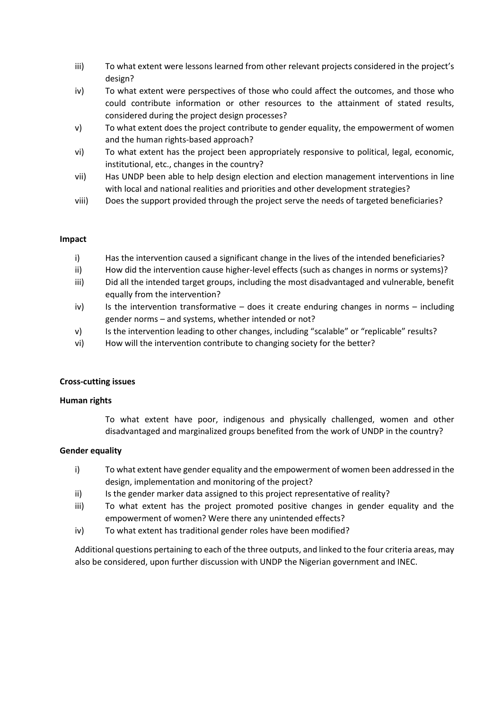- iii) To what extent were lessons learned from other relevant projects considered in the project's design?
- iv) To what extent were perspectives of those who could affect the outcomes, and those who could contribute information or other resources to the attainment of stated results, considered during the project design processes?
- v) To what extent does the project contribute to gender equality, the empowerment of women and the human rights-based approach?
- vi) To what extent has the project been appropriately responsive to political, legal, economic, institutional, etc., changes in the country?
- vii) Has UNDP been able to help design election and election management interventions in line with local and national realities and priorities and other development strategies?
- viii) Does the support provided through the project serve the needs of targeted beneficiaries?

## **Impact**

- i) Has the intervention caused a significant change in the lives of the intended beneficiaries?
- ii) How did the intervention cause higher-level effects (such as changes in norms or systems)?
- iii) Did all the intended target groups, including the most disadvantaged and vulnerable, benefit equally from the intervention?
- iv) Is the intervention transformative does it create enduring changes in norms including gender norms – and systems, whether intended or not?
- v) Is the intervention leading to other changes, including "scalable" or "replicable" results?
- vi) How will the intervention contribute to changing society for the better?

#### **Cross-cutting issues**

#### **Human rights**

To what extent have poor, indigenous and physically challenged, women and other disadvantaged and marginalized groups benefited from the work of UNDP in the country?

#### **Gender equality**

- i) To what extent have gender equality and the empowerment of women been addressed in the design, implementation and monitoring of the project?
- ii) Is the gender marker data assigned to this project representative of reality?
- iii) To what extent has the project promoted positive changes in gender equality and the empowerment of women? Were there any unintended effects?
- iv) To what extent has traditional gender roles have been modified?

Additional questions pertaining to each of the three outputs, and linked to the four criteria areas, may also be considered, upon further discussion with UNDP the Nigerian government and INEC.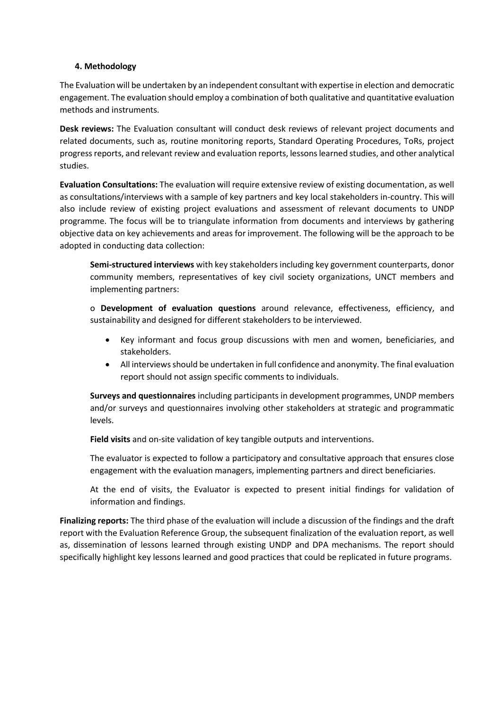## **4. Methodology**

The Evaluation will be undertaken by an independent consultant with expertise in election and democratic engagement. The evaluation should employ a combination of both qualitative and quantitative evaluation methods and instruments.

**Desk reviews:** The Evaluation consultant will conduct desk reviews of relevant project documents and related documents, such as, routine monitoring reports, Standard Operating Procedures, ToRs, project progress reports, and relevant review and evaluation reports, lessons learned studies, and other analytical studies.

**Evaluation Consultations:** The evaluation will require extensive review of existing documentation, as well as consultations/interviews with a sample of key partners and key local stakeholders in-country. This will also include review of existing project evaluations and assessment of relevant documents to UNDP programme. The focus will be to triangulate information from documents and interviews by gathering objective data on key achievements and areas for improvement. The following will be the approach to be adopted in conducting data collection:

**Semi-structured interviews** with key stakeholders including key government counterparts, donor community members, representatives of key civil society organizations, UNCT members and implementing partners:

o **Development of evaluation questions** around relevance, effectiveness, efficiency, and sustainability and designed for different stakeholders to be interviewed.

- Key informant and focus group discussions with men and women, beneficiaries, and stakeholders.
- All interviews should be undertaken in full confidence and anonymity. The final evaluation report should not assign specific comments to individuals.

**Surveys and questionnaires** including participants in development programmes, UNDP members and/or surveys and questionnaires involving other stakeholders at strategic and programmatic levels.

**Field visits** and on-site validation of key tangible outputs and interventions.

The evaluator is expected to follow a participatory and consultative approach that ensures close engagement with the evaluation managers, implementing partners and direct beneficiaries.

At the end of visits, the Evaluator is expected to present initial findings for validation of information and findings.

**Finalizing reports:** The third phase of the evaluation will include a discussion of the findings and the draft report with the Evaluation Reference Group, the subsequent finalization of the evaluation report, as well as, dissemination of lessons learned through existing UNDP and DPA mechanisms. The report should specifically highlight key lessons learned and good practices that could be replicated in future programs.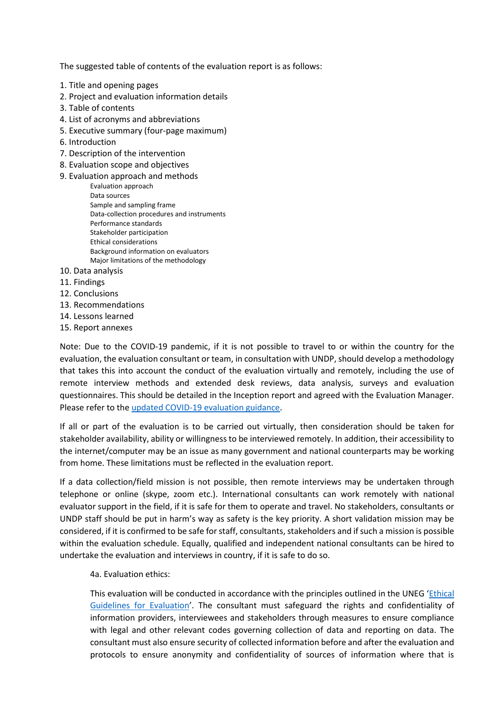The suggested table of contents of the evaluation report is as follows:

- 1. Title and opening pages
- 2. Project and evaluation information details
- 3. Table of contents
- 4. List of acronyms and abbreviations
- 5. Executive summary (four-page maximum)
- 6. Introduction
- 7. Description of the intervention
- 8. Evaluation scope and objectives
- 9. Evaluation approach and methods
	- Evaluation approach Data sources Sample and sampling frame Data-collection procedures and instruments Performance standards Stakeholder participation Ethical considerations Background information on evaluators Major limitations of the methodology
- 10. Data analysis
- 11. Findings
- 12. Conclusions
- 13. Recommendations
- 14. Lessons learned
- 15. Report annexes

Note: Due to the COVID-19 pandemic, if it is not possible to travel to or within the country for the evaluation, the evaluation consultant or team, in consultation with UNDP, should develop a methodology that takes this into account the conduct of the evaluation virtually and remotely, including the use of remote interview methods and extended desk reviews, data analysis, surveys and evaluation questionnaires. This should be detailed in the Inception report and agreed with the Evaluation Manager. Please refer to the [updated COVID-19 evaluation guidance.](https://eur03.safelinks.protection.outlook.com/?url=http%3A%2F%2Fweb.undp.org%2Fevaluation%2Fguideline%2Fcovid19.shtml&data=04%7C01%7Cuchenna.onyebuchi%40undp.org%7Ca20b04fb88c14159cb8308d92a951703%7Cb3e5db5e2944483799f57488ace54319%7C0%7C0%7C637587642090968586%7CUnknown%7CTWFpbGZsb3d8eyJWIjoiMC4wLjAwMDAiLCJQIjoiV2luMzIiLCJBTiI6Ik1haWwiLCJXVCI6Mn0%3D%7C1000&sdata=Z3NEfVWPePeTrNYWuaEt1nH%2F2YeT%2BTwziVDOXLOmFgs%3D&reserved=0)

If all or part of the evaluation is to be carried out virtually, then consideration should be taken for stakeholder availability, ability or willingness to be interviewed remotely. In addition, their accessibility to the internet/computer may be an issue as many government and national counterparts may be working from home. These limitations must be reflected in the evaluation report.

If a data collection/field mission is not possible, then remote interviews may be undertaken through telephone or online (skype, zoom etc.). International consultants can work remotely with national evaluator support in the field, if it is safe for them to operate and travel. No stakeholders, consultants or UNDP staff should be put in harm's way as safety is the key priority. A short validation mission may be considered, if it is confirmed to be safe for staff, consultants, stakeholders and if such a mission is possible within the evaluation schedule. Equally, qualified and independent national consultants can be hired to undertake the evaluation and interviews in country, if it is safe to do so.

4a. Evaluation ethics:

This evaluation will be conducted in accordance with the principles outlined in the UNEG '[Ethical](http://www.uneval.org/search/index.jsp?q=ethical+guidelines)  [Guidelines for Evaluation](http://www.uneval.org/search/index.jsp?q=ethical+guidelines)'. The consultant must safeguard the rights and confidentiality of information providers, interviewees and stakeholders through measures to ensure compliance with legal and other relevant codes governing collection of data and reporting on data. The consultant must also ensure security of collected information before and after the evaluation and protocols to ensure anonymity and confidentiality of sources of information where that is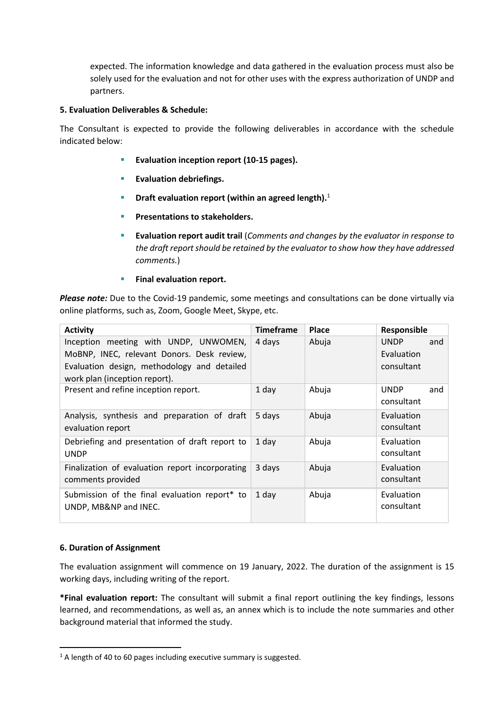expected. The information knowledge and data gathered in the evaluation process must also be solely used for the evaluation and not for other uses with the express authorization of UNDP and partners.

## **5. Evaluation Deliverables & Schedule:**

The Consultant is expected to provide the following deliverables in accordance with the schedule indicated below:

- **Evaluation inception report (10-15 pages).**
- **Evaluation debriefings.**
- **EXECT:** Draft evaluation report (within an agreed length).<sup>1</sup>
- **Presentations to stakeholders.**
- **Evaluation report audit trail** (*Comments and changes by the evaluator in response to the draft report should be retained by the evaluator to show how they have addressed comments.*)
- **Final evaluation report.**

*Please note:* Due to the Covid-19 pandemic, some meetings and consultations can be done virtually via online platforms, such as, Zoom, Google Meet, Skype, etc.

| <b>Activity</b>                                                                                                                                                     | <b>Timeframe</b> | <b>Place</b> | Responsible                                    |
|---------------------------------------------------------------------------------------------------------------------------------------------------------------------|------------------|--------------|------------------------------------------------|
| Inception meeting with UNDP, UNWOMEN,<br>MoBNP, INEC, relevant Donors. Desk review,<br>Evaluation design, methodology and detailed<br>work plan (inception report). | 4 days           | Abuja        | <b>UNDP</b><br>and<br>Evaluation<br>consultant |
| Present and refine inception report.                                                                                                                                | 1 day            | Abuja        | <b>UNDP</b><br>and<br>consultant               |
| Analysis, synthesis and preparation of draft<br>evaluation report                                                                                                   | 5 days           | Abuja        | Evaluation<br>consultant                       |
| Debriefing and presentation of draft report to<br><b>UNDP</b>                                                                                                       | 1 day            | Abuja        | Evaluation<br>consultant                       |
| Finalization of evaluation report incorporating<br>comments provided                                                                                                | 3 days           | Abuja        | Evaluation<br>consultant                       |
| Submission of the final evaluation report* to<br>UNDP, MB&NP and INEC.                                                                                              | 1 day            | Abuja        | Evaluation<br>consultant                       |

## **6. Duration of Assignment**

The evaluation assignment will commence on 19 January, 2022. The duration of the assignment is 15 working days, including writing of the report.

**\*Final evaluation report:** The consultant will submit a final report outlining the key findings, lessons learned, and recommendations, as well as, an annex which is to include the note summaries and other background material that informed the study.

 $1$  A length of 40 to 60 pages including executive summary is suggested.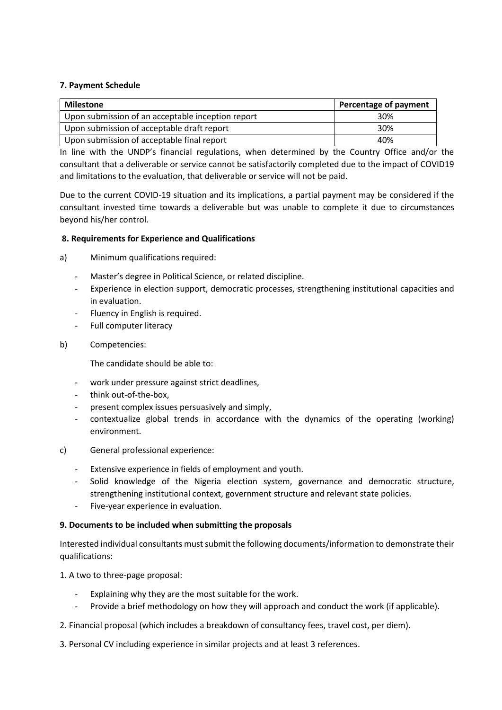## **7. Payment Schedule**

| <b>Milestone</b>                                  | Percentage of payment |
|---------------------------------------------------|-----------------------|
| Upon submission of an acceptable inception report | 30%                   |
| Upon submission of acceptable draft report        | 30%                   |
| Upon submission of acceptable final report        | 40%                   |

In line with the UNDP's financial regulations, when determined by the Country Office and/or the consultant that a deliverable or service cannot be satisfactorily completed due to the impact of COVID19 and limitations to the evaluation, that deliverable or service will not be paid.

Due to the current COVID-19 situation and its implications, a partial payment may be considered if the consultant invested time towards a deliverable but was unable to complete it due to circumstances beyond his/her control.

## **8. Requirements for Experience and Qualifications**

a) Minimum qualifications required:

- Master's degree in Political Science, or related discipline.
- Experience in election support, democratic processes, strengthening institutional capacities and in evaluation.
- Fluency in English is required.
- Full computer literacy
- b) Competencies:

The candidate should be able to:

- work under pressure against strict deadlines,
- think out-of-the-box,
- present complex issues persuasively and simply,
- contextualize global trends in accordance with the dynamics of the operating (working) environment.
- c) General professional experience:
	- Extensive experience in fields of employment and youth.
	- Solid knowledge of the Nigeria election system, governance and democratic structure, strengthening institutional context, government structure and relevant state policies.
	- Five-year experience in evaluation.

#### **9. Documents to be included when submitting the proposals**

Interested individual consultants must submit the following documents/information to demonstrate their qualifications:

1. A two to three-page proposal:

- Explaining why they are the most suitable for the work.
- Provide a brief methodology on how they will approach and conduct the work (if applicable).
- 2. Financial proposal (which includes a breakdown of consultancy fees, travel cost, per diem).

3. Personal CV including experience in similar projects and at least 3 references.